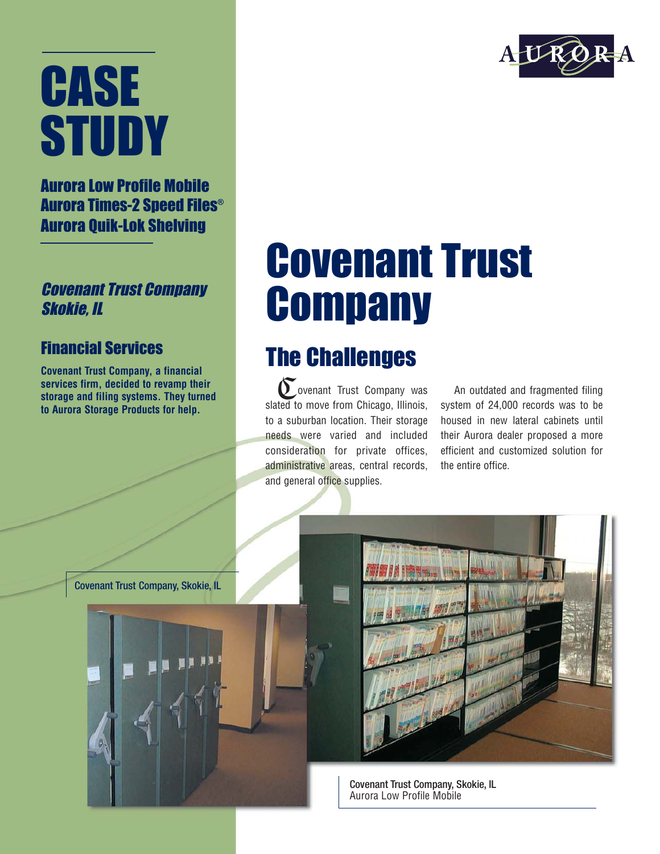# **CASE STUDY**

#### Aurora Low Profile Mobile Aurora Times-2 Speed Files® Aurora Quik-Lok Shelving

#### Covenant Trust Company Skokie, IL

#### Financial Services

**Covenant Trust Company, a financial services firm, decided to revamp their storage and filing systems. They turned to Aurora Storage Products for help.**

## Covenant Trust **Company**

### The Challenges

ovenant Trust Company was slated to move from Chicago, Illinois, to a suburban location. Their storage needs were varied and included consideration for private offices, administrative areas, central records, and general office supplies.  $\sum_{\text{total}}$ 

An outdated and fragmented filing system of 24,000 records was to be housed in new lateral cabinets until their Aurora dealer proposed a more efficient and customized solution for the entire office.

Covenant Trust Company, Skokie, IL



Covenant Trust Company, Skokie, IL Aurora Low Profile Mobile